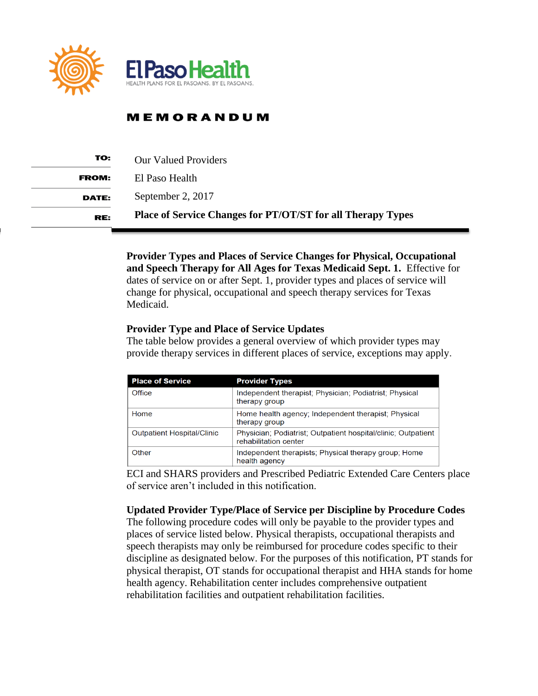

## **MEMORANDUM**

| TO:          | <b>Our Valued Providers</b>                                        |
|--------------|--------------------------------------------------------------------|
| <b>FROM:</b> | El Paso Health                                                     |
| <b>DATE:</b> | September 2, 2017                                                  |
| RE:          | <b>Place of Service Changes for PT/OT/ST for all Therapy Types</b> |

**Provider Types and Places of Service Changes for Physical, Occupational and Speech Therapy for All Ages for Texas Medicaid Sept. 1.** Effective for dates of service on or after Sept. 1, provider types and places of service will change for physical, occupational and speech therapy services for Texas Medicaid.

## **Provider Type and Place of Service Updates**

The table below provides a general overview of which provider types may provide therapy services in different places of service, exceptions may apply.

| <b>Place of Service</b>           | <b>Provider Types</b>                                                                  |
|-----------------------------------|----------------------------------------------------------------------------------------|
| Office                            | Independent therapist; Physician; Podiatrist; Physical<br>therapy group                |
| Home                              | Home health agency; Independent therapist; Physical<br>therapy group                   |
| <b>Outpatient Hospital/Clinic</b> | Physician; Podiatrist; Outpatient hospital/clinic; Outpatient<br>rehabilitation center |
| Other                             | Independent therapists; Physical therapy group; Home<br>health agency                  |

ECI and SHARS providers and Prescribed Pediatric Extended Care Centers place of service aren't included in this notification.

**Updated Provider Type/Place of Service per Discipline by Procedure Codes**  The following procedure codes will only be payable to the provider types and

places of service listed below. Physical therapists, occupational therapists and speech therapists may only be reimbursed for procedure codes specific to their discipline as designated below. For the purposes of this notification, PT stands for physical therapist, OT stands for occupational therapist and HHA stands for home health agency. Rehabilitation center includes comprehensive outpatient rehabilitation facilities and outpatient rehabilitation facilities.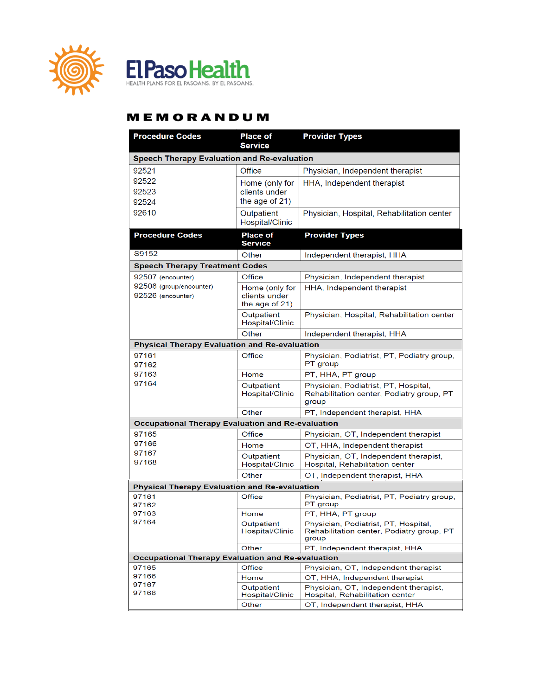



## **MEMORANDUM**

| <b>Procedure Codes</b>                                   | <b>Place of</b><br><b>Service</b>                 | <b>Provider Types</b>                                                                      |  |  |  |
|----------------------------------------------------------|---------------------------------------------------|--------------------------------------------------------------------------------------------|--|--|--|
| <b>Speech Therapy Evaluation and Re-evaluation</b>       |                                                   |                                                                                            |  |  |  |
| 92521                                                    | Office                                            | Physician, Independent therapist                                                           |  |  |  |
| 92522                                                    | Home (only for                                    | HHA, Independent therapist                                                                 |  |  |  |
| 92523                                                    | clients under                                     |                                                                                            |  |  |  |
| 92524                                                    | the age of 21)                                    |                                                                                            |  |  |  |
| 92610                                                    | Outpatient<br>Hospital/Clinic                     | Physician, Hospital, Rehabilitation center                                                 |  |  |  |
| <b>Procedure Codes</b>                                   | <b>Place of</b><br><b>Service</b>                 | <b>Provider Types</b>                                                                      |  |  |  |
| S9152                                                    | Other                                             | Independent therapist, HHA                                                                 |  |  |  |
| <b>Speech Therapy Treatment Codes</b>                    |                                                   |                                                                                            |  |  |  |
| 92507 (encounter)                                        | Office                                            | Physician, Independent therapist                                                           |  |  |  |
| 92508 (group/encounter)<br>92526 (encounter)             | Home (only for<br>clients under<br>the age of 21) | HHA, Independent therapist                                                                 |  |  |  |
|                                                          | Outpatient<br>Hospital/Clinic                     | Physician, Hospital, Rehabilitation center                                                 |  |  |  |
|                                                          | Other                                             | Independent therapist, HHA                                                                 |  |  |  |
| <b>Physical Therapy Evaluation and Re-evaluation</b>     |                                                   |                                                                                            |  |  |  |
| 97161<br>97162                                           | Office                                            | Physician, Podiatrist, PT, Podiatry group,<br>PT group                                     |  |  |  |
| 97163                                                    | Home                                              | PT, HHA, PT group                                                                          |  |  |  |
| 97164                                                    | Outpatient<br>Hospital/Clinic                     | Physician, Podiatrist, PT, Hospital,<br>Rehabilitation center, Podiatry group, PT<br>group |  |  |  |
|                                                          | Other                                             | PT, Independent therapist, HHA                                                             |  |  |  |
| <b>Occupational Therapy Evaluation and Re-evaluation</b> |                                                   |                                                                                            |  |  |  |
| 97165                                                    | Office                                            | Physician, OT, Independent therapist                                                       |  |  |  |
| 97166                                                    | Home                                              | OT, HHA, Independent therapist                                                             |  |  |  |
| 97167<br>97168                                           | Outpatient<br>Hospital/Clinic                     | Physician, OT, Independent therapist,<br>Hospital, Rehabilitation center                   |  |  |  |
|                                                          | Other                                             | OT, Independent therapist, HHA                                                             |  |  |  |
| <b>Physical Therapy Evaluation and Re-evaluation</b>     |                                                   |                                                                                            |  |  |  |
| 97161<br>97162                                           | Office                                            | Physician, Podiatrist, PT, Podiatry group,<br>PT group                                     |  |  |  |
| 97163                                                    | Home                                              | PT, HHA, PT group                                                                          |  |  |  |
| 97164                                                    | Outpatient<br>Hospital/Clinic                     | Physician, Podiatrist, PT, Hospital,<br>Rehabilitation center, Podiatry group, PT<br>group |  |  |  |
|                                                          | Other                                             | PT, Independent therapist, HHA                                                             |  |  |  |
| <b>Occupational Therapy Evaluation and Re-evaluation</b> |                                                   |                                                                                            |  |  |  |
| 97165<br>97166                                           | Office                                            | Physician, OT, Independent therapist                                                       |  |  |  |
| 97167                                                    | Home                                              | OT, HHA, Independent therapist<br>Physician, OT, Independent therapist,                    |  |  |  |
| 97168                                                    | Outpatient<br>Hospital/Clinic                     | Hospital, Rehabilitation center                                                            |  |  |  |
|                                                          | Other                                             | OT, Independent therapist, HHA                                                             |  |  |  |